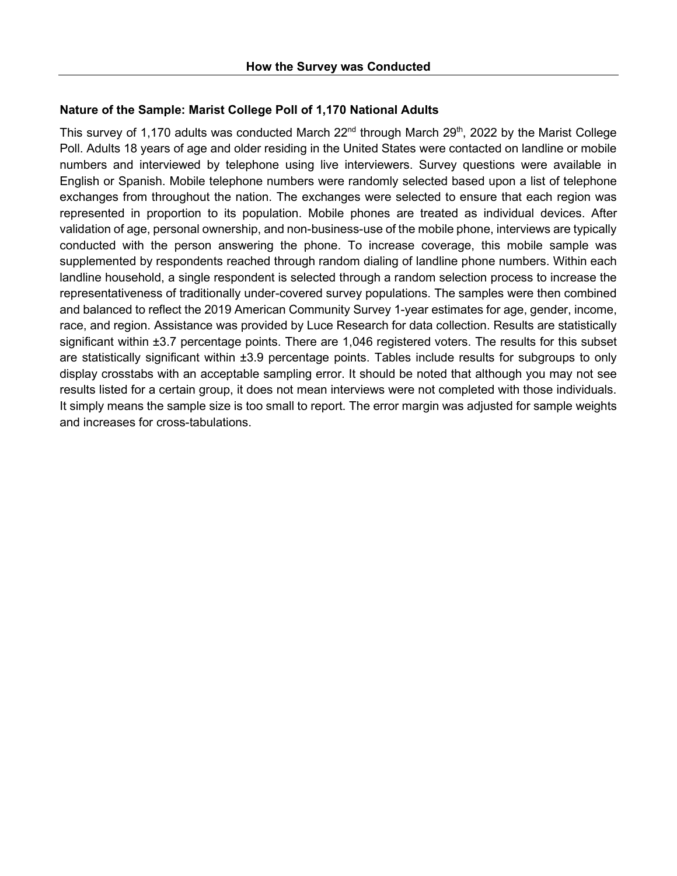## **Nature of the Sample: Marist College Poll of 1,170 National Adults**

This survey of 1,170 adults was conducted March  $22<sup>nd</sup>$  through March  $29<sup>th</sup>$ , 2022 by the Marist College Poll. Adults 18 years of age and older residing in the United States were contacted on landline or mobile numbers and interviewed by telephone using live interviewers. Survey questions were available in English or Spanish. Mobile telephone numbers were randomly selected based upon a list of telephone exchanges from throughout the nation. The exchanges were selected to ensure that each region was represented in proportion to its population. Mobile phones are treated as individual devices. After validation of age, personal ownership, and non-business-use of the mobile phone, interviews are typically conducted with the person answering the phone. To increase coverage, this mobile sample was supplemented by respondents reached through random dialing of landline phone numbers. Within each landline household, a single respondent is selected through a random selection process to increase the representativeness of traditionally under-covered survey populations. The samples were then combined and balanced to reflect the 2019 American Community Survey 1-year estimates for age, gender, income, race, and region. Assistance was provided by Luce Research for data collection. Results are statistically significant within  $\pm 3.7$  percentage points. There are 1,046 registered voters. The results for this subset are statistically significant within ±3.9 percentage points. Tables include results for subgroups to only display crosstabs with an acceptable sampling error. It should be noted that although you may not see results listed for a certain group, it does not mean interviews were not completed with those individuals. It simply means the sample size is too small to report. The error margin was adjusted for sample weights and increases for cross-tabulations.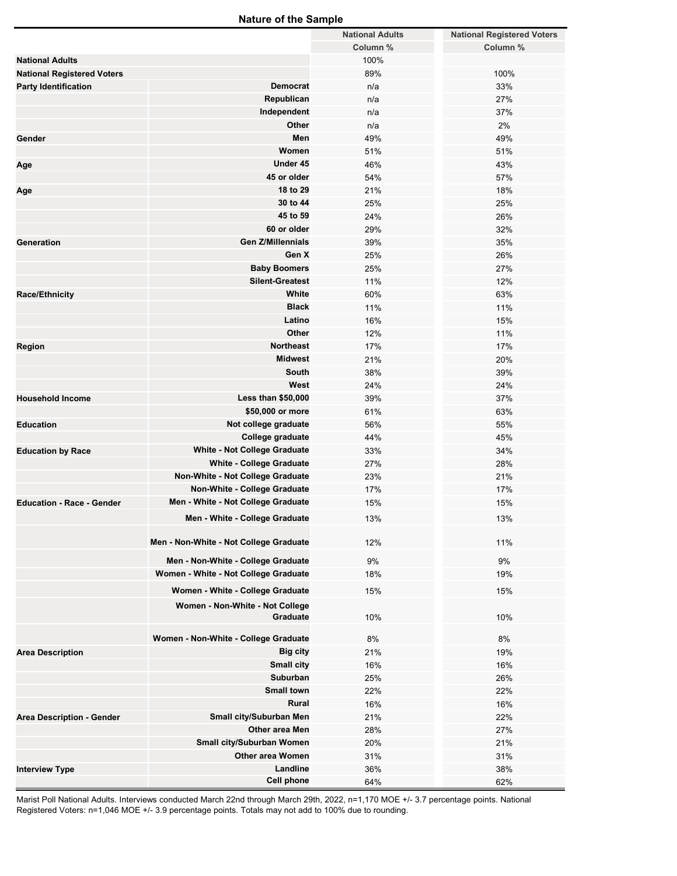## **Nature of the Sample**

|                                   |                                        | <b>National Adults</b> | <b>National Registered Voters</b> |
|-----------------------------------|----------------------------------------|------------------------|-----------------------------------|
|                                   |                                        | Column %               | Column %                          |
| <b>National Adults</b>            |                                        | 100%                   |                                   |
| <b>National Registered Voters</b> |                                        | 89%                    | 100%                              |
| <b>Party Identification</b>       | <b>Democrat</b>                        | n/a                    | 33%                               |
|                                   | Republican                             | n/a                    | 27%                               |
|                                   | Independent                            | n/a                    | 37%                               |
|                                   | Other                                  | n/a                    | 2%                                |
| Gender                            | Men                                    | 49%                    | 49%                               |
|                                   | Women                                  | 51%                    | 51%                               |
| Age                               | Under 45                               | 46%                    | 43%                               |
|                                   | 45 or older                            | 54%                    | 57%                               |
|                                   | 18 to 29                               | 21%                    | 18%                               |
| Age                               | 30 to 44                               | 25%                    | 25%                               |
|                                   |                                        |                        |                                   |
|                                   | 45 to 59                               | 24%                    | 26%                               |
|                                   | 60 or older                            | 29%                    | 32%                               |
| Generation                        | <b>Gen Z/Millennials</b>               | 39%                    | 35%                               |
|                                   | Gen X                                  | 25%                    | 26%                               |
|                                   | <b>Baby Boomers</b>                    | 25%                    | 27%                               |
|                                   | <b>Silent-Greatest</b>                 | 11%                    | 12%                               |
| <b>Race/Ethnicity</b>             | White                                  | 60%                    | 63%                               |
|                                   | <b>Black</b>                           | 11%                    | 11%                               |
|                                   | Latino                                 | 16%                    | 15%                               |
|                                   | Other                                  | 12%                    | 11%                               |
| Region                            | <b>Northeast</b>                       | 17%                    | 17%                               |
|                                   | <b>Midwest</b>                         | 21%                    | 20%                               |
|                                   | South                                  | 38%                    | 39%                               |
|                                   | West                                   | 24%                    | 24%                               |
| <b>Household Income</b>           | Less than \$50,000                     | 39%                    | 37%                               |
|                                   | \$50,000 or more                       | 61%                    | 63%                               |
| <b>Education</b>                  | Not college graduate                   | 56%                    | 55%                               |
|                                   | College graduate                       | 44%                    | 45%                               |
| <b>Education by Race</b>          | White - Not College Graduate           | 33%                    | 34%                               |
|                                   | White - College Graduate               | 27%                    | 28%                               |
|                                   | Non-White - Not College Graduate       | 23%                    | 21%                               |
|                                   | Non-White - College Graduate           | 17%                    | 17%                               |
| <b>Education - Race - Gender</b>  | Men - White - Not College Graduate     | 15%                    | 15%                               |
|                                   | Men - White - College Graduate         | 13%                    | 13%                               |
|                                   |                                        |                        |                                   |
|                                   | Men - Non-White - Not College Graduate | 12%                    | 11%                               |
|                                   |                                        |                        |                                   |
|                                   | Men - Non-White - College Graduate     | 9%                     | 9%                                |
|                                   | Women - White - Not College Graduate   | 18%                    | 19%                               |
|                                   | Women - White - College Graduate       | 15%                    | 15%                               |
|                                   | Women - Non-White - Not College        |                        |                                   |
|                                   | Graduate                               | 10%                    | 10%                               |
|                                   |                                        |                        |                                   |
|                                   | Women - Non-White - College Graduate   | 8%                     | 8%                                |
| <b>Area Description</b>           | <b>Big city</b>                        | 21%                    | 19%                               |
|                                   | Small city                             | 16%                    | 16%                               |
|                                   | Suburban                               | 25%                    | 26%                               |
|                                   | <b>Small town</b>                      | 22%                    | 22%                               |
|                                   | Rural                                  | 16%                    | 16%                               |
| <b>Area Description - Gender</b>  | Small city/Suburban Men                | 21%                    | 22%                               |
|                                   | Other area Men                         | 28%                    | 27%                               |
|                                   | Small city/Suburban Women              | 20%                    | 21%                               |
|                                   | <b>Other area Women</b>                | 31%                    | 31%                               |
| <b>Interview Type</b>             | Landline                               | 36%                    | 38%                               |
|                                   | <b>Cell phone</b>                      | 64%                    | 62%                               |

Marist Poll National Adults. Interviews conducted March 22nd through March 29th, 2022, n=1,170 MOE +/- 3.7 percentage points. National Registered Voters: n=1,046 MOE +/- 3.9 percentage points. Totals may not add to 100% due to rounding.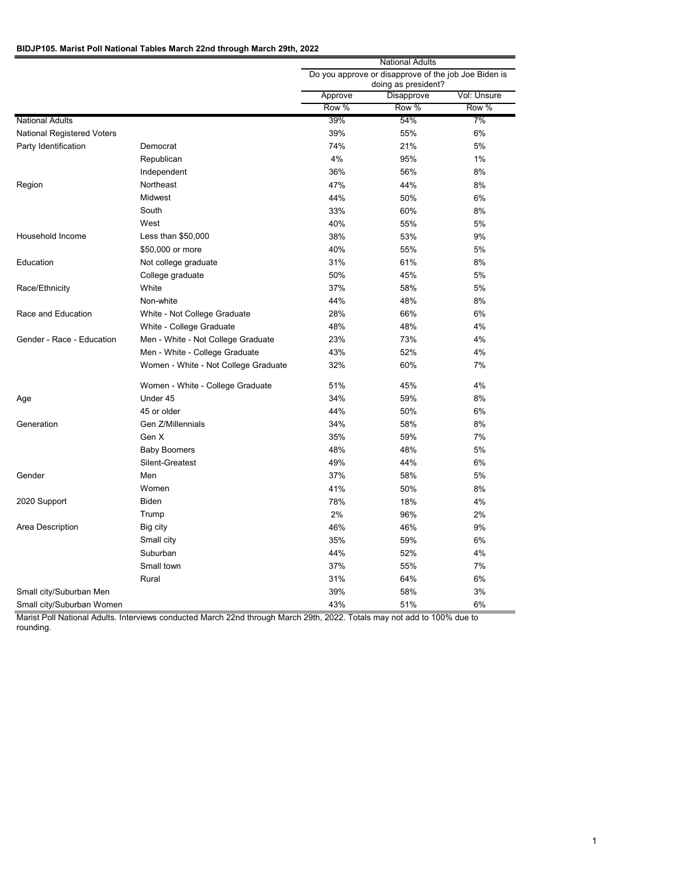### **BIDJP105. Marist Poll National Tables March 22nd through March 29th, 2022**

|                                   |                                      | National Adults                                                             |            |             |  |
|-----------------------------------|--------------------------------------|-----------------------------------------------------------------------------|------------|-------------|--|
|                                   |                                      | Do you approve or disapprove of the job Joe Biden is<br>doing as president? |            |             |  |
|                                   |                                      | Approve                                                                     | Disapprove | Vol: Unsure |  |
|                                   |                                      | Row %                                                                       | Row %      | Row %       |  |
| <b>National Adults</b>            |                                      | 39%                                                                         | 54%        | 7%          |  |
| <b>National Registered Voters</b> |                                      | 39%                                                                         | 55%        | 6%          |  |
| Party Identification              | Democrat                             | 74%                                                                         | 21%        | 5%          |  |
|                                   | Republican                           | 4%                                                                          | 95%        | 1%          |  |
|                                   | Independent                          | 36%                                                                         | 56%        | 8%          |  |
| Region                            | Northeast                            | 47%                                                                         | 44%        | 8%          |  |
|                                   | <b>Midwest</b>                       | 44%                                                                         | 50%        | 6%          |  |
|                                   | South                                | 33%                                                                         | 60%        | 8%          |  |
|                                   | West                                 | 40%                                                                         | 55%        | 5%          |  |
| Household Income                  | Less than \$50,000                   | 38%                                                                         | 53%        | 9%          |  |
|                                   | \$50,000 or more                     | 40%                                                                         | 55%        | 5%          |  |
| Education                         | Not college graduate                 | 31%                                                                         | 61%        | 8%          |  |
|                                   | College graduate                     | 50%                                                                         | 45%        | 5%          |  |
| Race/Ethnicity                    | White                                | 37%                                                                         | 58%        | 5%          |  |
|                                   | Non-white                            | 44%                                                                         | 48%        | 8%          |  |
| Race and Education                | White - Not College Graduate         | 28%                                                                         | 66%        | 6%          |  |
|                                   | White - College Graduate             | 48%                                                                         | 48%        | 4%          |  |
| Gender - Race - Education         | Men - White - Not College Graduate   | 23%                                                                         | 73%        | 4%          |  |
|                                   | Men - White - College Graduate       | 43%                                                                         | 52%        | 4%          |  |
|                                   | Women - White - Not College Graduate | 32%                                                                         | 60%        | 7%          |  |
|                                   | Women - White - College Graduate     | 51%                                                                         | 45%        | 4%          |  |
| Age                               | Under 45                             | 34%                                                                         | 59%        | 8%          |  |
|                                   | 45 or older                          | 44%                                                                         | 50%        | 6%          |  |
| Generation                        | Gen Z/Millennials                    | 34%                                                                         | 58%        | 8%          |  |
|                                   | Gen X                                | 35%                                                                         | 59%        | 7%          |  |
|                                   | <b>Baby Boomers</b>                  | 48%                                                                         | 48%        | 5%          |  |
|                                   | Silent-Greatest                      | 49%                                                                         | 44%        | 6%          |  |
| Gender                            | Men                                  | 37%                                                                         | 58%        | 5%          |  |
|                                   | Women                                | 41%                                                                         | 50%        | 8%          |  |
| 2020 Support                      | <b>Biden</b>                         | 78%                                                                         | 18%        | 4%          |  |
|                                   | Trump                                | 2%                                                                          | 96%        | 2%          |  |
| Area Description                  | Big city                             | 46%                                                                         | 46%        | 9%          |  |
|                                   | Small city                           | 35%                                                                         | 59%        | 6%          |  |
|                                   | Suburban                             | 44%                                                                         | 52%        | 4%          |  |
|                                   | Small town                           | 37%                                                                         | 55%        | 7%          |  |
|                                   | Rural                                | 31%                                                                         | 64%        | 6%          |  |
| Small city/Suburban Men           |                                      | 39%                                                                         | 58%        | 3%          |  |
| Small city/Suburban Women         |                                      | 43%                                                                         | 51%        | 6%          |  |

Marist Poll National Adults. Interviews conducted March 22nd through March 29th, 2022. Totals may not add to 100% due to rounding.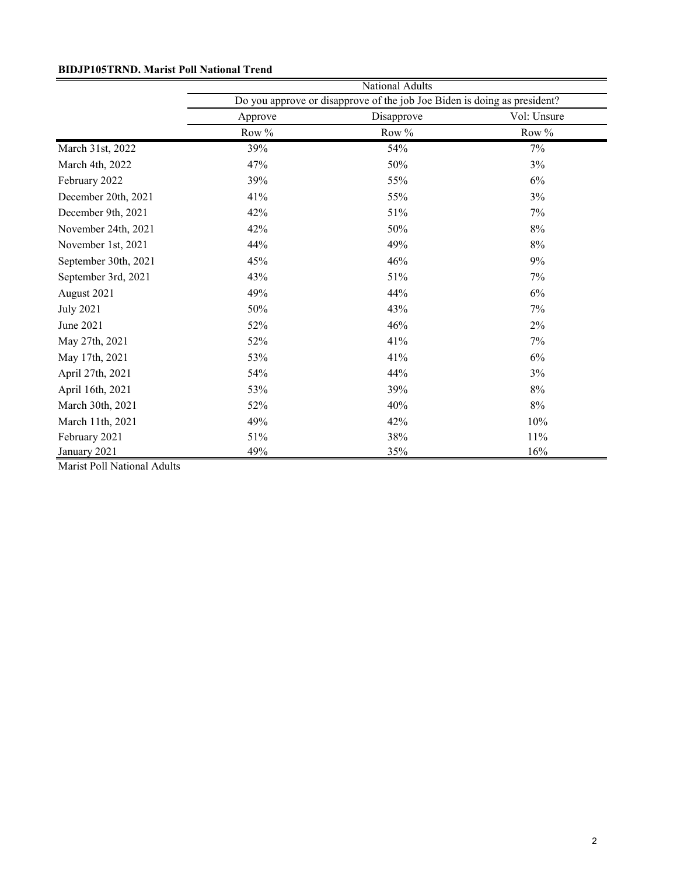# **BIDJP105TRND. Marist Poll National Trend**

|                      | National Adults                                                          |            |             |  |  |
|----------------------|--------------------------------------------------------------------------|------------|-------------|--|--|
|                      | Do you approve or disapprove of the job Joe Biden is doing as president? |            |             |  |  |
|                      | Approve                                                                  | Disapprove | Vol: Unsure |  |  |
|                      | Row %                                                                    | Row %      | Row %       |  |  |
| March 31st, 2022     | 39%                                                                      | 54%        | 7%          |  |  |
| March 4th, 2022      | 47%                                                                      | 50%        | 3%          |  |  |
| February 2022        | 39%                                                                      | 55%        | 6%          |  |  |
| December 20th, 2021  | 41%                                                                      | 55%        | 3%          |  |  |
| December 9th, 2021   | 42%                                                                      | 51%        | 7%          |  |  |
| November 24th, 2021  | 42%                                                                      | 50%        | 8%          |  |  |
| November 1st, 2021   | 44%                                                                      | 49%        | 8%          |  |  |
| September 30th, 2021 | 45%                                                                      | 46%        | 9%          |  |  |
| September 3rd, 2021  | 43%                                                                      | 51%        | 7%          |  |  |
| August 2021          | 49%                                                                      | 44%        | 6%          |  |  |
| <b>July 2021</b>     | 50%                                                                      | 43%        | 7%          |  |  |
| June 2021            | 52%                                                                      | 46%        | 2%          |  |  |
| May 27th, 2021       | 52%                                                                      | 41%        | 7%          |  |  |
| May 17th, 2021       | 53%                                                                      | 41%        | 6%          |  |  |
| April 27th, 2021     | 54%                                                                      | 44%        | 3%          |  |  |
| April 16th, 2021     | 53%                                                                      | 39%        | 8%          |  |  |
| March 30th, 2021     | 52%                                                                      | 40%        | 8%          |  |  |
| March 11th, 2021     | 49%                                                                      | 42%        | 10%         |  |  |
| February 2021        | 51%                                                                      | 38%        | 11%         |  |  |
| January 2021         | 49%                                                                      | 35%        | 16%         |  |  |

Marist Poll National Adults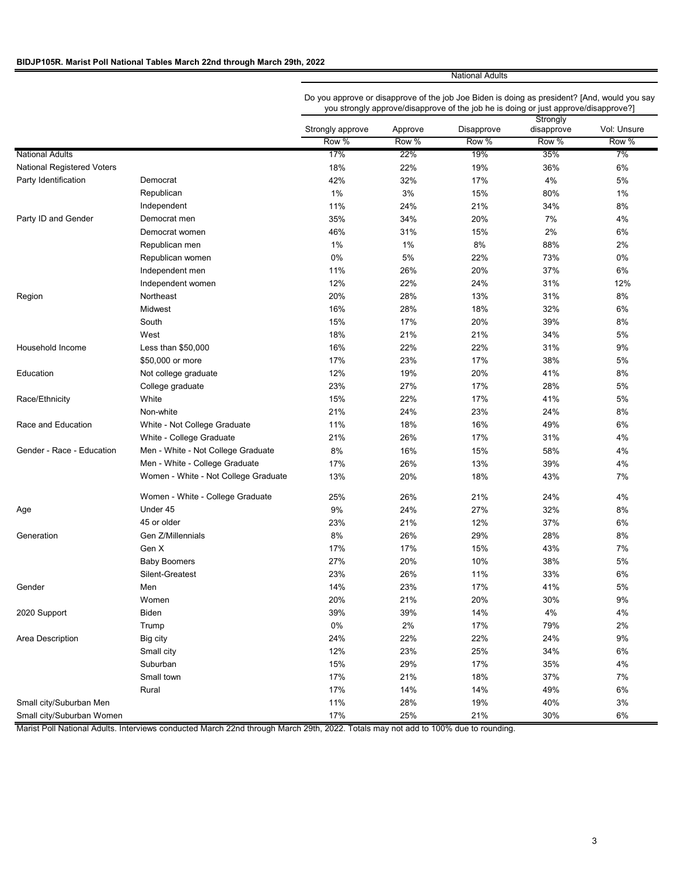### **BIDJP105R. Marist Poll National Tables March 22nd through March 29th, 2022**

National Adults

Do you approve or disapprove of the job Joe Biden is doing as president? [And, would you say you strongly approve/disapprove of the job he is doing or just approve/disapprove?]

|                            |                                      |                  |         |            | Strongly   |             |
|----------------------------|--------------------------------------|------------------|---------|------------|------------|-------------|
|                            |                                      | Strongly approve | Approve | Disapprove | disapprove | Vol: Unsure |
|                            |                                      | Row %            | Row %   | Row %      | Row %      | Row %       |
| <b>National Adults</b>     |                                      | 17%              | 22%     | 19%        | 35%        | 7%          |
| National Registered Voters |                                      | 18%              | 22%     | 19%        | 36%        | 6%          |
| Party Identification       | Democrat                             | 42%              | 32%     | 17%        | 4%         | 5%          |
|                            | Republican                           | 1%               | 3%      | 15%        | 80%        | $1\%$       |
|                            | Independent                          | 11%              | 24%     | 21%        | 34%        | 8%          |
| Party ID and Gender        | Democrat men                         | 35%              | 34%     | 20%        | 7%         | 4%          |
|                            | Democrat women                       | 46%              | 31%     | 15%        | 2%         | 6%          |
|                            | Republican men                       | $1\%$            | $1\%$   | 8%         | 88%        | 2%          |
|                            | Republican women                     | $0\%$            | $5\%$   | 22%        | 73%        | 0%          |
|                            | Independent men                      | 11%              | 26%     | 20%        | 37%        | $6\%$       |
|                            | Independent women                    | 12%              | 22%     | 24%        | 31%        | 12%         |
| Region                     | Northeast                            | 20%              | 28%     | 13%        | 31%        | 8%          |
|                            | Midwest                              | 16%              | 28%     | 18%        | 32%        | 6%          |
|                            | South                                | 15%              | 17%     | 20%        | 39%        | 8%          |
|                            | West                                 | 18%              | 21%     | 21%        | 34%        | 5%          |
| Household Income           | Less than \$50,000                   | 16%              | 22%     | 22%        | 31%        | 9%          |
|                            | \$50,000 or more                     | 17%              | 23%     | 17%        | 38%        | 5%          |
| Education                  | Not college graduate                 | 12%              | 19%     | 20%        | 41%        | 8%          |
|                            | College graduate                     | 23%              | 27%     | 17%        | 28%        | 5%          |
| Race/Ethnicity             | White                                | 15%              | 22%     | 17%        | 41%        | 5%          |
|                            | Non-white                            | 21%              | 24%     | 23%        | 24%        | 8%          |
| Race and Education         | White - Not College Graduate         | 11%              | 18%     | 16%        | 49%        | 6%          |
|                            | White - College Graduate             | 21%              | 26%     | 17%        | 31%        | 4%          |
| Gender - Race - Education  | Men - White - Not College Graduate   | 8%               | 16%     | 15%        | 58%        | 4%          |
|                            | Men - White - College Graduate       | 17%              | 26%     | 13%        | 39%        | 4%          |
|                            | Women - White - Not College Graduate | 13%              | 20%     | 18%        | 43%        | 7%          |
|                            | Women - White - College Graduate     | 25%              | 26%     | 21%        | 24%        | 4%          |
| Age                        | Under 45                             | 9%               | 24%     | 27%        | 32%        | $8\%$       |
|                            | 45 or older                          | 23%              | 21%     | 12%        | 37%        | 6%          |
| Generation                 | Gen Z/Millennials                    | 8%               | 26%     | 29%        | 28%        | 8%          |
|                            | Gen X                                | 17%              | 17%     | 15%        | 43%        | 7%          |
|                            | <b>Baby Boomers</b>                  | 27%              | 20%     | 10%        | 38%        | 5%          |
|                            | Silent-Greatest                      | 23%              | 26%     | 11%        | 33%        | 6%          |
| Gender                     | Men                                  | 14%              | 23%     | 17%        | 41%        | 5%          |
|                            | Women                                | 20%              | 21%     | 20%        | 30%        | 9%          |
| 2020 Support               | Biden                                | 39%              | 39%     | 14%        | $4\%$      | $4\%$       |
|                            | Trump                                | $0\%$            | 2%      | 17%        | 79%        | 2%          |
| Area Description           | Big city                             | 24%              | 22%     | 22%        | 24%        | $9\%$       |
|                            | Small city                           | 12%              | 23%     | 25%        | 34%        | 6%          |
|                            | Suburban                             | 15%              | 29%     | 17%        | 35%        | 4%          |
|                            | Small town                           | 17%              | 21%     | 18%        | 37%        | 7%          |
|                            | Rural                                | 17%              | 14%     | 14%        | 49%        | 6%          |
| Small city/Suburban Men    |                                      | 11%              | 28%     | 19%        | 40%        | 3%          |
| Small city/Suburban Women  |                                      | 17%              | 25%     | 21%        | 30%        | 6%          |
|                            |                                      |                  |         |            |            |             |

Marist Poll National Adults. Interviews conducted March 22nd through March 29th, 2022. Totals may not add to 100% due to rounding.